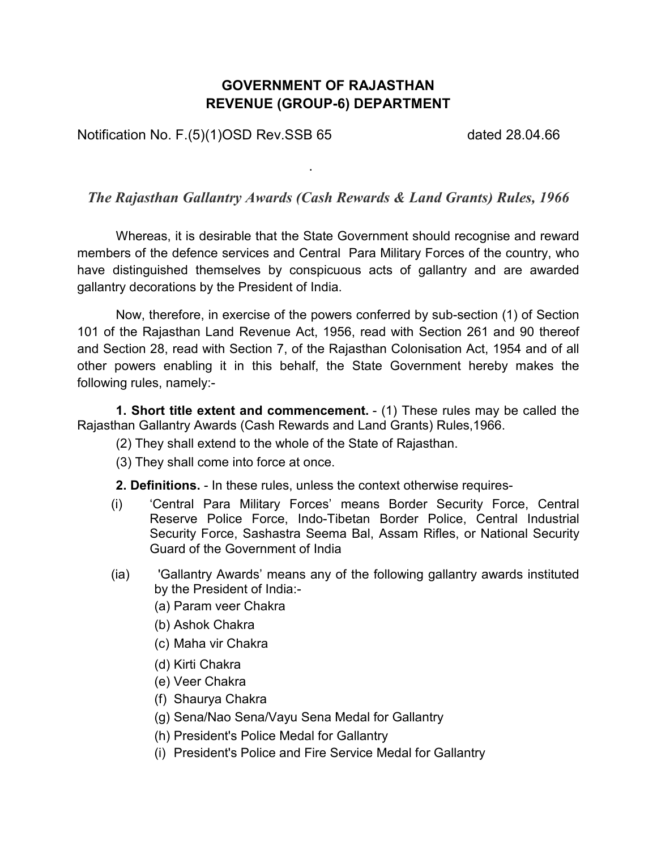## **GOVERNMENT OF RAJASTHAN REVENUE (GROUP-6) DEPARTMENT**

Notification No. F.(5)(1)OSD Rev.SSB 65 dated 28.04.66

### *The Rajasthan Gallantry Awards (Cash Rewards & Land Grants) Rules, 1966*

.

Whereas, it is desirable that the State Government should recognise and reward members of the defence services and Central Para Military Forces of the country, who have distinguished themselves by conspicuous acts of gallantry and are awarded gallantry decorations by the President of India.

Now, therefore, in exercise of the powers conferred by sub-section (1) of Section 101 of the Rajasthan Land Revenue Act, 1956, read with Section 261 and 90 thereof and Section 28, read with Section 7, of the Rajasthan Colonisation Act, 1954 and of all other powers enabling it in this behalf, the State Government hereby makes the following rules, namely:-

**1. Short title extent and commencement.** - (1) These rules may be called the Rajasthan Gallantry Awards (Cash Rewards and Land Grants) Rules,1966.

- (2) They shall extend to the whole of the State of Rajasthan.
- (3) They shall come into force at once.

**2. Definitions.** - In these rules, unless the context otherwise requires-

- (i) 'Central Para Military Forces' means Border Security Force, Central Reserve Police Force, Indo-Tibetan Border Police, Central Industrial Security Force, Sashastra Seema Bal, Assam Rifles, or National Security Guard of the Government of India
- (ia) 'Gallantry Awards' means any of the following gallantry awards instituted by the President of India:-
	- (a) Param veer Chakra
	- (b) Ashok Chakra
	- (c) Maha vir Chakra
	- (d) Kirti Chakra
	- (e) Veer Chakra
	- (f) Shaurya Chakra
	- (g) Sena/Nao Sena/Vayu Sena Medal for Gallantry
	- (h) President's Police Medal for Gallantry
	- (i) President's Police and Fire Service Medal for Gallantry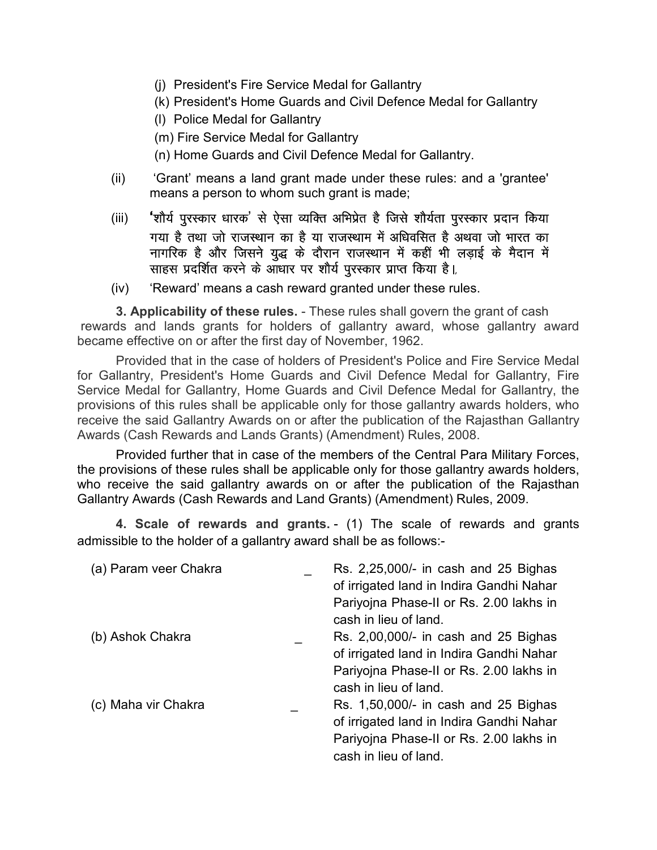- (j) President's Fire Service Medal for Gallantry
- (k) President's Home Guards and Civil Defence Medal for Gallantry
- (l) Police Medal for Gallantry
- (m) Fire Service Medal for Gallantry
- (n) Home Guards and Civil Defence Medal for Gallantry.
- (ii) 'Grant' means a land grant made under these rules: and a 'grantee' means a person to whom such grant is made;
- (iii) **'**शौर्य पुरस्कार धारक' से ऐसा व्यक्ति अभिप्रेत है जिसे शौर्यता पुरस्कार प्रदान किया गया है तथा जो राजस्थान का है या राजस्थाम में अधिवसित है अथवा जो भारत का नागरिक है और जिसने युद्ध के दौरान राजस्थान में कहीं भी लड़ाई के मैदान में साहस प्रदर्शित करने के आधार पर शौर्य पुरस्कार प्राप्त किया है।
- (iv) 'Reward' means a cash reward granted under these rules.

**3. Applicability of these rules.** - These rules shall govern the grant of cash rewards and lands grants for holders of gallantry award, whose gallantry award became effective on or after the first day of November, 1962.

Provided that in the case of holders of President's Police and Fire Service Medal for Gallantry, President's Home Guards and Civil Defence Medal for Gallantry, Fire Service Medal for Gallantry, Home Guards and Civil Defence Medal for Gallantry, the provisions of this rules shall be applicable only for those gallantry awards holders, who receive the said Gallantry Awards on or after the publication of the Rajasthan Gallantry Awards (Cash Rewards and Lands Grants) (Amendment) Rules, 2008.

Provided further that in case of the members of the Central Para Military Forces, the provisions of these rules shall be applicable only for those gallantry awards holders, who receive the said gallantry awards on or after the publication of the Rajasthan Gallantry Awards (Cash Rewards and Land Grants) (Amendment) Rules, 2009.

**4. Scale of rewards and grants.** - (1) The scale of rewards and grants admissible to the holder of a gallantry award shall be as follows:-

| (a) Param veer Chakra | Rs. 2,25,000/- in cash and 25 Bighas<br>of irrigated land in Indira Gandhi Nahar<br>Pariyojna Phase-II or Rs. 2.00 lakhs in<br>cash in lieu of land. |
|-----------------------|------------------------------------------------------------------------------------------------------------------------------------------------------|
| (b) Ashok Chakra      | Rs. 2,00,000/- in cash and 25 Bighas<br>of irrigated land in Indira Gandhi Nahar<br>Pariyojna Phase-II or Rs. 2.00 lakhs in<br>cash in lieu of land. |
| (c) Maha vir Chakra   | Rs. 1,50,000/- in cash and 25 Bighas<br>of irrigated land in Indira Gandhi Nahar<br>Pariyojna Phase-II or Rs. 2.00 lakhs in<br>cash in lieu of land. |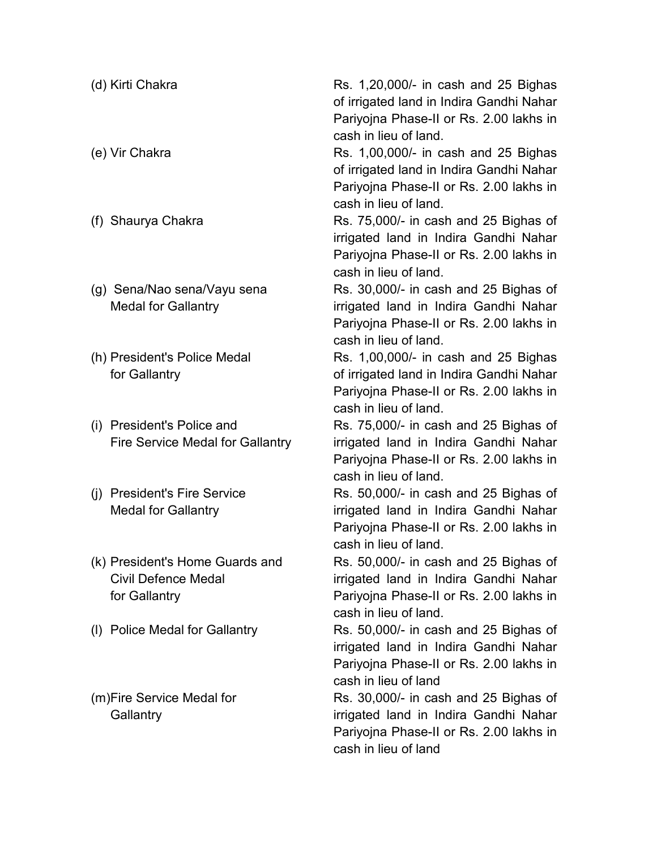| (d) Kirti Chakra                                                               | Rs. 1,20,000/- in cash and 25 Bighas<br>of irrigated land in Indira Gandhi Nahar<br>Pariyojna Phase-II or Rs. 2.00 lakhs in<br>cash in lieu of land. |
|--------------------------------------------------------------------------------|------------------------------------------------------------------------------------------------------------------------------------------------------|
| (e) Vir Chakra                                                                 | Rs. 1,00,000/- in cash and 25 Bighas<br>of irrigated land in Indira Gandhi Nahar<br>Pariyojna Phase-II or Rs. 2.00 lakhs in<br>cash in lieu of land. |
| (f) Shaurya Chakra                                                             | Rs. 75,000/- in cash and 25 Bighas of<br>irrigated land in Indira Gandhi Nahar<br>Pariyojna Phase-II or Rs. 2.00 lakhs in<br>cash in lieu of land.   |
| (g) Sena/Nao sena/Vayu sena<br><b>Medal for Gallantry</b>                      | Rs. 30,000/- in cash and 25 Bighas of<br>irrigated land in Indira Gandhi Nahar<br>Pariyojna Phase-II or Rs. 2.00 lakhs in<br>cash in lieu of land.   |
| (h) President's Police Medal<br>for Gallantry                                  | Rs. 1,00,000/- in cash and 25 Bighas<br>of irrigated land in Indira Gandhi Nahar<br>Pariyojna Phase-II or Rs. 2.00 lakhs in<br>cash in lieu of land. |
| (i) President's Police and<br>Fire Service Medal for Gallantry                 | Rs. 75,000/- in cash and 25 Bighas of<br>irrigated land in Indira Gandhi Nahar<br>Pariyojna Phase-II or Rs. 2.00 lakhs in<br>cash in lieu of land.   |
| (i) President's Fire Service<br><b>Medal for Gallantry</b>                     | Rs. 50,000/- in cash and 25 Bighas of<br>irrigated land in Indira Gandhi Nahar<br>Pariyojna Phase-II or Rs. 2.00 lakhs in<br>cash in lieu of land.   |
| (k) President's Home Guards and<br><b>Civil Defence Medal</b><br>for Gallantry | Rs. 50,000/- in cash and 25 Bighas of<br>irrigated land in Indira Gandhi Nahar<br>Pariyojna Phase-II or Rs. 2.00 lakhs in<br>cash in lieu of land.   |
| (I) Police Medal for Gallantry                                                 | Rs. 50,000/- in cash and 25 Bighas of<br>irrigated land in Indira Gandhi Nahar<br>Pariyojna Phase-II or Rs. 2.00 lakhs in<br>cash in lieu of land    |
| (m)Fire Service Medal for<br>Gallantry                                         | Rs. 30,000/- in cash and 25 Bighas of<br>irrigated land in Indira Gandhi Nahar<br>Pariyojna Phase-II or Rs. 2.00 lakhs in<br>cash in lieu of land    |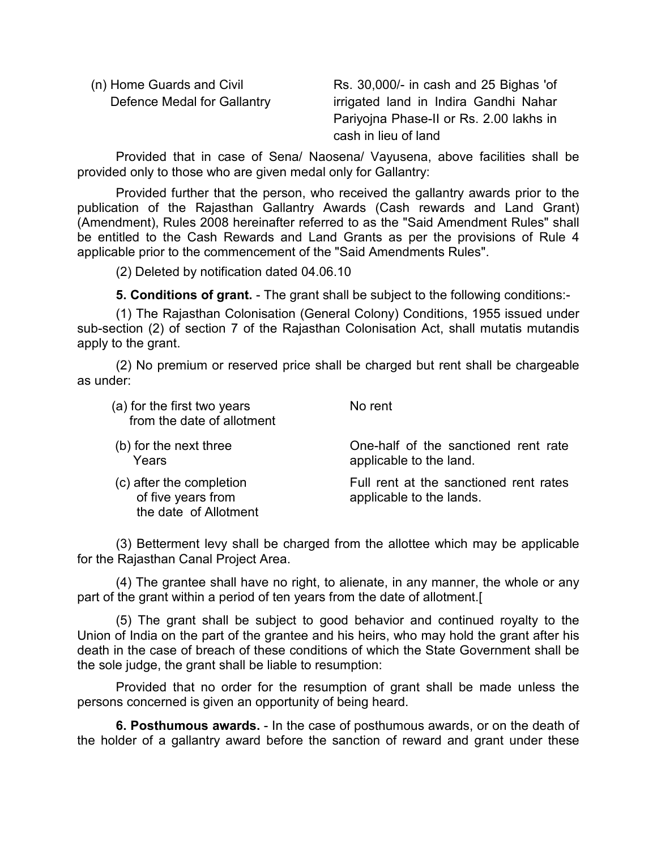(n) Home Guards and Civil Defence Medal for Gallantry Rs. 30,000/- in cash and 25 Bighas 'of irrigated land in Indira Gandhi Nahar Pariyojna Phase-II or Rs. 2.00 lakhs in cash in lieu of land

 Provided that in case of Sena/ Naosena/ Vayusena, above facilities shall be provided only to those who are given medal only for Gallantry:

 Provided further that the person, who received the gallantry awards prior to the publication of the Rajasthan Gallantry Awards (Cash rewards and Land Grant) (Amendment), Rules 2008 hereinafter referred to as the "Said Amendment Rules" shall be entitled to the Cash Rewards and Land Grants as per the provisions of Rule 4 applicable prior to the commencement of the "Said Amendments Rules".

(2) Deleted by notification dated 04.06.10

**5. Conditions of grant.** - The grant shall be subject to the following conditions:-

(1) The Rajasthan Colonisation (General Colony) Conditions, 1955 issued under sub-section (2) of section 7 of the Rajasthan Colonisation Act, shall mutatis mutandis apply to the grant.

(2) No premium or reserved price shall be charged but rent shall be chargeable as under:

| (a) for the first two years<br>from the date of allotment               | No rent                                                            |
|-------------------------------------------------------------------------|--------------------------------------------------------------------|
| (b) for the next three<br>Years                                         | One-half of the sanctioned rent rate<br>applicable to the land.    |
| (c) after the completion<br>of five years from<br>the date of Allotment | Full rent at the sanctioned rent rates<br>applicable to the lands. |

(3) Betterment levy shall be charged from the allottee which may be applicable for the Rajasthan Canal Project Area.

(4) The grantee shall have no right, to alienate, in any manner, the whole or any part of the grant within a period of ten years from the date of allotment.[

(5) The grant shall be subject to good behavior and continued royalty to the Union of India on the part of the grantee and his heirs, who may hold the grant after his death in the case of breach of these conditions of which the State Government shall be the sole judge, the grant shall be liable to resumption:

 Provided that no order for the resumption of grant shall be made unless the persons concerned is given an opportunity of being heard.

**6. Posthumous awards.** - In the case of posthumous awards, or on the death of the holder of a gallantry award before the sanction of reward and grant under these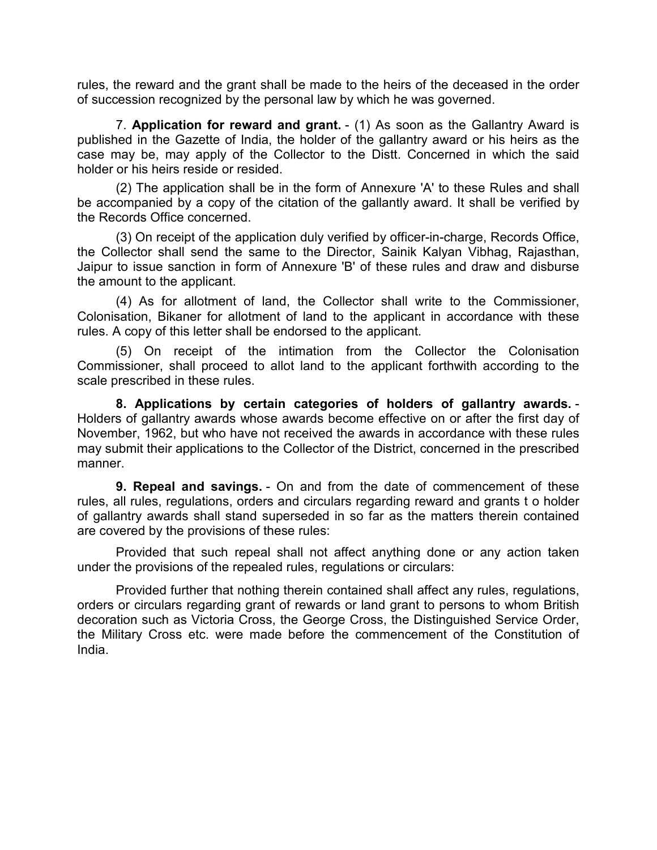rules, the reward and the grant shall be made to the heirs of the deceased in the order of succession recognized by the personal law by which he was governed.

7. **Application for reward and grant.** - (1) As soon as the Gallantry Award is published in the Gazette of India, the holder of the gallantry award or his heirs as the case may be, may apply of the Collector to the Distt. Concerned in which the said holder or his heirs reside or resided.

(2) The application shall be in the form of Annexure 'A' to these Rules and shall be accompanied by a copy of the citation of the gallantly award. It shall be verified by the Records Office concerned.

(3) On receipt of the application duly verified by officer-in-charge, Records Office, the Collector shall send the same to the Director, Sainik Kalyan Vibhag, Rajasthan, Jaipur to issue sanction in form of Annexure 'B' of these rules and draw and disburse the amount to the applicant.

(4) As for allotment of land, the Collector shall write to the Commissioner, Colonisation, Bikaner for allotment of land to the applicant in accordance with these rules. A copy of this letter shall be endorsed to the applicant.

(5) On receipt of the intimation from the Collector the Colonisation Commissioner, shall proceed to allot land to the applicant forthwith according to the scale prescribed in these rules.

**8. Applications by certain categories of holders of gallantry awards.** - Holders of gallantry awards whose awards become effective on or after the first day of November, 1962, but who have not received the awards in accordance with these rules may submit their applications to the Collector of the District, concerned in the prescribed manner.

**9. Repeal and savings.** - On and from the date of commencement of these rules, all rules, regulations, orders and circulars regarding reward and grants t o holder of gallantry awards shall stand superseded in so far as the matters therein contained are covered by the provisions of these rules:

 Provided that such repeal shall not affect anything done or any action taken under the provisions of the repealed rules, regulations or circulars:

 Provided further that nothing therein contained shall affect any rules, regulations, orders or circulars regarding grant of rewards or land grant to persons to whom British decoration such as Victoria Cross, the George Cross, the Distinguished Service Order, the Military Cross etc. were made before the commencement of the Constitution of India.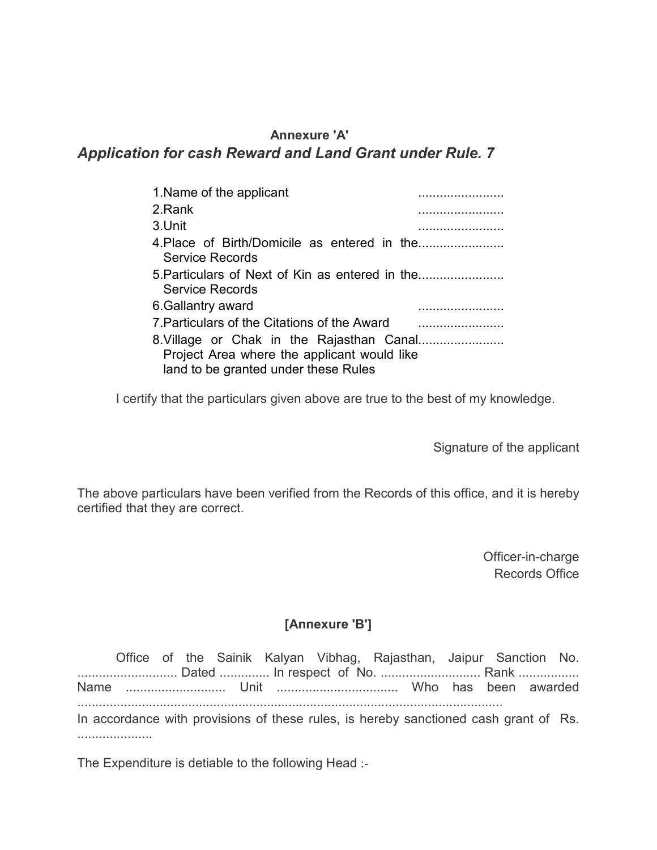#### **Annexure 'A'**

# *Application for cash Reward and Land Grant under Rule. 7*

| 1. Name of the applicant                                                            |
|-------------------------------------------------------------------------------------|
| 2. Rank                                                                             |
| 3.Unit                                                                              |
| Service Records                                                                     |
| 5. Particulars of Next of Kin as entered in the<br>Service Records                  |
| 6. Gallantry award                                                                  |
| 7 Particulars of the Citations of the Award                                         |
| Project Area where the applicant would like<br>land to be granted under these Rules |

I certify that the particulars given above are true to the best of my knowledge.

Signature of the applicant

The above particulars have been verified from the Records of this office, and it is hereby certified that they are correct.

> Officer-in-charge Records Office

#### **[Annexure 'B']**

 Office of the Sainik Kalyan Vibhag, Rajasthan, Jaipur Sanction No. ............................ Dated .............. In respect of No. ............................ Rank ................. Name ............................ Unit .................................. Who has been awarded ....................................................................................................................... In accordance with provisions of these rules, is hereby sanctioned cash grant of Rs. .....................

The Expenditure is detiable to the following Head :-